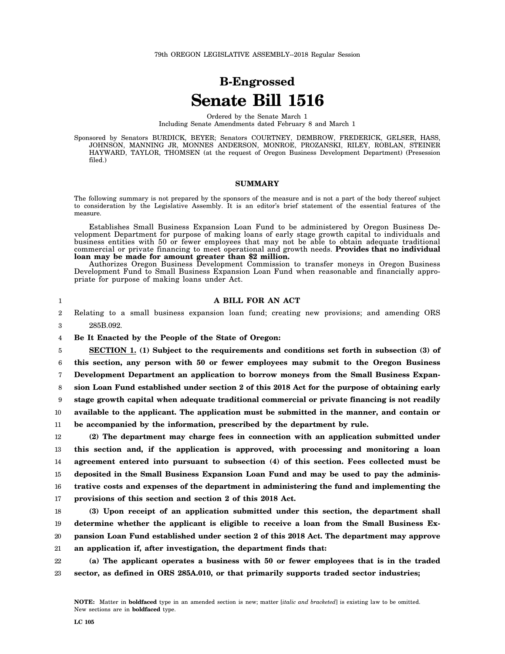## **B-Engrossed Senate Bill 1516**

Ordered by the Senate March 1

Including Senate Amendments dated February 8 and March 1

Sponsored by Senators BURDICK, BEYER; Senators COURTNEY, DEMBROW, FREDERICK, GELSER, HASS, JOHNSON, MANNING JR, MONNES ANDERSON, MONROE, PROZANSKI, RILEY, ROBLAN, STEINER HAYWARD, TAYLOR, THOMSEN (at the request of Oregon Business Development Department) (Presession filed.)

## **SUMMARY**

The following summary is not prepared by the sponsors of the measure and is not a part of the body thereof subject to consideration by the Legislative Assembly. It is an editor's brief statement of the essential features of the measure.

Establishes Small Business Expansion Loan Fund to be administered by Oregon Business Development Department for purpose of making loans of early stage growth capital to individuals and business entities with 50 or fewer employees that may not be able to obtain adequate traditional commercial or private financing to meet operational and growth needs. **Provides that no individual loan may be made for amount greater than \$2 million.**

Authorizes Oregon Business Development Commission to transfer moneys in Oregon Business Development Fund to Small Business Expansion Loan Fund when reasonable and financially appropriate for purpose of making loans under Act.

**A BILL FOR AN ACT**

|                | A BILL FOR AN ACT                                                                              |
|----------------|------------------------------------------------------------------------------------------------|
| $\overline{2}$ | Relating to a small business expansion loan fund; creating new provisions; and amending ORS    |
| 3              | 285B.092.                                                                                      |
| 4              | Be It Enacted by the People of the State of Oregon:                                            |
| 5              | SECTION 1. (1) Subject to the requirements and conditions set forth in subsection (3) of       |
| 6              | this section, any person with 50 or fewer employees may submit to the Oregon Business          |
| 7              | Development Department an application to borrow moneys from the Small Business Expan-          |
| 8              | sion Loan Fund established under section 2 of this 2018 Act for the purpose of obtaining early |
| 9              | stage growth capital when adequate traditional commercial or private financing is not readily  |
| 10             | available to the applicant. The application must be submitted in the manner, and contain or    |
| 11             | be accompanied by the information, prescribed by the department by rule.                       |
| 12             | (2) The department may charge fees in connection with an application submitted under           |
| 13             | this section and, if the application is approved, with processing and monitoring a loan        |
| 14             | agreement entered into pursuant to subsection (4) of this section. Fees collected must be      |
| 15             | deposited in the Small Business Expansion Loan Fund and may be used to pay the adminis-        |

16 17 **trative costs and expenses of the department in administering the fund and implementing the provisions of this section and section 2 of this 2018 Act.**

18 19 20 21 **(3) Upon receipt of an application submitted under this section, the department shall determine whether the applicant is eligible to receive a loan from the Small Business Expansion Loan Fund established under section 2 of this 2018 Act. The department may approve an application if, after investigation, the department finds that:**

22 23 **(a) The applicant operates a business with 50 or fewer employees that is in the traded sector, as defined in ORS 285A.010, or that primarily supports traded sector industries;**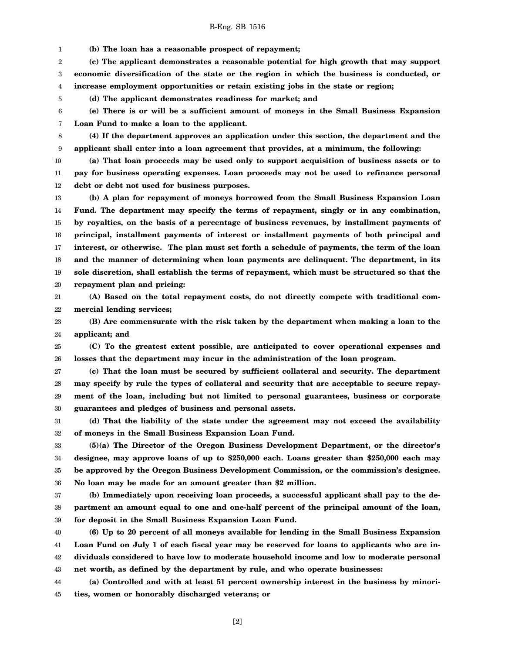## B-Eng. SB 1516

1 **(b) The loan has a reasonable prospect of repayment;**

5

2 3 4 **(c) The applicant demonstrates a reasonable potential for high growth that may support economic diversification of the state or the region in which the business is conducted, or increase employment opportunities or retain existing jobs in the state or region;**

**(d) The applicant demonstrates readiness for market; and**

6 7 **(e) There is or will be a sufficient amount of moneys in the Small Business Expansion Loan Fund to make a loan to the applicant.**

8 9 **(4) If the department approves an application under this section, the department and the applicant shall enter into a loan agreement that provides, at a minimum, the following:**

10 11 12 **(a) That loan proceeds may be used only to support acquisition of business assets or to pay for business operating expenses. Loan proceeds may not be used to refinance personal debt or debt not used for business purposes.**

13 14 15 16 17 18 19 20 **(b) A plan for repayment of moneys borrowed from the Small Business Expansion Loan Fund. The department may specify the terms of repayment, singly or in any combination, by royalties, on the basis of a percentage of business revenues, by installment payments of principal, installment payments of interest or installment payments of both principal and interest, or otherwise. The plan must set forth a schedule of payments, the term of the loan and the manner of determining when loan payments are delinquent. The department, in its sole discretion, shall establish the terms of repayment, which must be structured so that the repayment plan and pricing:**

21 22 **(A) Based on the total repayment costs, do not directly compete with traditional commercial lending services;**

23 24 **(B) Are commensurate with the risk taken by the department when making a loan to the applicant; and**

25 26 **(C) To the greatest extent possible, are anticipated to cover operational expenses and losses that the department may incur in the administration of the loan program.**

27 28 29 30 **(c) That the loan must be secured by sufficient collateral and security. The department may specify by rule the types of collateral and security that are acceptable to secure repayment of the loan, including but not limited to personal guarantees, business or corporate guarantees and pledges of business and personal assets.**

31 32 **(d) That the liability of the state under the agreement may not exceed the availability of moneys in the Small Business Expansion Loan Fund.**

33 34 35 36 **(5)(a) The Director of the Oregon Business Development Department, or the director's designee, may approve loans of up to \$250,000 each. Loans greater than \$250,000 each may be approved by the Oregon Business Development Commission, or the commission's designee. No loan may be made for an amount greater than \$2 million.**

37 38 39 **(b) Immediately upon receiving loan proceeds, a successful applicant shall pay to the department an amount equal to one and one-half percent of the principal amount of the loan, for deposit in the Small Business Expansion Loan Fund.**

40 41 42 43 **(6) Up to 20 percent of all moneys available for lending in the Small Business Expansion Loan Fund on July 1 of each fiscal year may be reserved for loans to applicants who are individuals considered to have low to moderate household income and low to moderate personal net worth, as defined by the department by rule, and who operate businesses:**

44 45 **(a) Controlled and with at least 51 percent ownership interest in the business by minorities, women or honorably discharged veterans; or**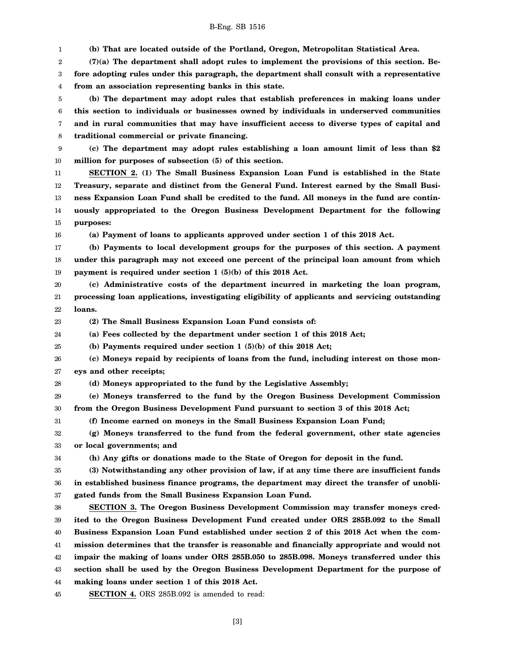1 **(b) That are located outside of the Portland, Oregon, Metropolitan Statistical Area.**

2 3 4 **(7)(a) The department shall adopt rules to implement the provisions of this section. Before adopting rules under this paragraph, the department shall consult with a representative from an association representing banks in this state.**

5 6 7 8 **(b) The department may adopt rules that establish preferences in making loans under this section to individuals or businesses owned by individuals in underserved communities and in rural communities that may have insufficient access to diverse types of capital and traditional commercial or private financing.**

9 10 **(c) The department may adopt rules establishing a loan amount limit of less than \$2 million for purposes of subsection (5) of this section.**

11 12 13 14 15 **SECTION 2. (1) The Small Business Expansion Loan Fund is established in the State Treasury, separate and distinct from the General Fund. Interest earned by the Small Business Expansion Loan Fund shall be credited to the fund. All moneys in the fund are continuously appropriated to the Oregon Business Development Department for the following purposes:**

16

**(a) Payment of loans to applicants approved under section 1 of this 2018 Act.**

17 18 19 **(b) Payments to local development groups for the purposes of this section. A payment under this paragraph may not exceed one percent of the principal loan amount from which payment is required under section 1 (5)(b) of this 2018 Act.**

20 21 22 **(c) Administrative costs of the department incurred in marketing the loan program, processing loan applications, investigating eligibility of applicants and servicing outstanding loans.**

23 **(2) The Small Business Expansion Loan Fund consists of:**

24 **(a) Fees collected by the department under section 1 of this 2018 Act;**

25 **(b) Payments required under section 1 (5)(b) of this 2018 Act;**

26 27 **(c) Moneys repaid by recipients of loans from the fund, including interest on those moneys and other receipts;**

28 **(d) Moneys appropriated to the fund by the Legislative Assembly;**

29 30 **(e) Moneys transferred to the fund by the Oregon Business Development Commission from the Oregon Business Development Fund pursuant to section 3 of this 2018 Act;**

31 **(f) Income earned on moneys in the Small Business Expansion Loan Fund;**

32 33 **(g) Moneys transferred to the fund from the federal government, other state agencies or local governments; and**

34

**(h) Any gifts or donations made to the State of Oregon for deposit in the fund.**

35 36 37 **(3) Notwithstanding any other provision of law, if at any time there are insufficient funds in established business finance programs, the department may direct the transfer of unobligated funds from the Small Business Expansion Loan Fund.**

38 39 40 41 42 43 44 **SECTION 3. The Oregon Business Development Commission may transfer moneys credited to the Oregon Business Development Fund created under ORS 285B.092 to the Small Business Expansion Loan Fund established under section 2 of this 2018 Act when the commission determines that the transfer is reasonable and financially appropriate and would not impair the making of loans under ORS 285B.050 to 285B.098. Moneys transferred under this section shall be used by the Oregon Business Development Department for the purpose of making loans under section 1 of this 2018 Act.**

45 **SECTION 4.** ORS 285B.092 is amended to read: